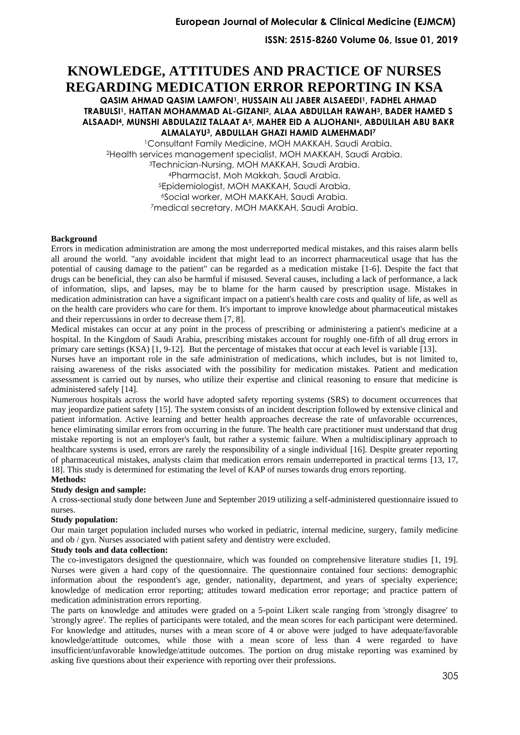**ISSN: 2515-8260 Volume 06, Issue 01, 2019**

# **KNOWLEDGE, ATTITUDES AND PRACTICE OF NURSES REGARDING MEDICATION ERROR REPORTING IN KSA**

**QASIM AHMAD QASIM LAMFON1, HUSSAIN ALI JABER ALSAEEDI1, FADHEL AHMAD TRABULSI1, HATTAN MOHAMMAD AL-GIZANI2, ALAA ABDULLAH RAWAH3, BADER HAMED S ALSAADI4, MUNSHI ABDULAZIZ TALAAT A5, MAHER EID A ALJOHANI6, ABDULILAH ABU BAKR ALMALAYU3, ABDULLAH GHAZI HAMID ALMEHMADI<sup>7</sup>**

Consultant Family Medicine, MOH MAKKAH, Saudi Arabia. Health services management specialist, MOH MAKKAH, Saudi Arabia. Technician-Nursing, MOH MAKKAH, Saudi Arabia. Pharmacist, Moh Makkah, Saudi Arabia. Epidemiologist, MOH MAKKAH, Saudi Arabia. Social worker, MOH MAKKAH, Saudi Arabia. medical secretary, MOH MAKKAH, Saudi Arabia.

### **Background**

Errors in medication administration are among the most underreported medical mistakes, and this raises alarm bells all around the world. "any avoidable incident that might lead to an incorrect pharmaceutical usage that has the potential of causing damage to the patient" can be regarded as a medication mistake [\[1-6\]](#page-7-0). Despite the fact that drugs can be beneficial, they can also be harmful if misused. Several causes, including a lack of performance, a lack of information, slips, and lapses, may be to blame for the harm caused by prescription usage. Mistakes in medication administration can have a significant impact on a patient's health care costs and quality of life, as well as on the health care providers who care for them. It's important to improve knowledge about pharmaceutical mistakes and their repercussions in order to decrease them [\[7,](#page-7-1) [8\]](#page-7-2).

Medical mistakes can occur at any point in the process of prescribing or administering a patient's medicine at a hospital. In the Kingdom of Saudi Arabia, prescribing mistakes account for roughly one-fifth of all drug errors in primary care settings (KSA) [\[1,](#page-7-0) [9-12\]](#page-7-3). But the percentage of mistakes that occur at each level is variable [\[13\]](#page-8-0).

Nurses have an important role in the safe administration of medications, which includes, but is not limited to, raising awareness of the risks associated with the possibility for medication mistakes. Patient and medication assessment is carried out by nurses, who utilize their expertise and clinical reasoning to ensure that medicine is administered safely [\[14\]](#page-8-1) .

Numerous hospitals across the world have adopted safety reporting systems (SRS) to document occurrences that may jeopardize patient safety [\[15\]](#page-8-2). The system consists of an incident description followed by extensive clinical and patient information. Active learning and better health approaches decrease the rate of unfavorable occurrences, hence eliminating similar errors from occurring in the future. The health care practitioner must understand that drug mistake reporting is not an employer's fault, but rather a systemic failure. When a multidisciplinary approach to healthcare systems is used, errors are rarely the responsibility of a single individual [\[16\]](#page-8-3). Despite greater reporting of pharmaceutical mistakes, analysts claim that medication errors remain underreported in practical terms [\[13,](#page-8-0) [17,](#page-8-4) [18\]](#page-8-5). This study is determined for estimating the level of KAP of nurses towards drug errors reporting.

#### **Methods:**

#### **Study design and sample:**

A cross-sectional study done between June and September 2019 utilizing a self-administered questionnaire issued to nurses.

### **Study population:**

Our main target population included nurses who worked in pediatric, internal medicine, surgery, family medicine and ob / gyn. Nurses associated with patient safety and dentistry were excluded.

### **Study tools and data collection:**

The co-investigators designed the questionnaire, which was founded on comprehensive literature studies [\[1,](#page-7-0) [19\]](#page-8-6). Nurses were given a hard copy of the questionnaire. The questionnaire contained four sections: demographic information about the respondent's age, gender, nationality, department, and years of specialty experience; knowledge of medication error reporting; attitudes toward medication error reportage; and practice pattern of medication administration errors reporting .

The parts on knowledge and attitudes were graded on a 5-point Likert scale ranging from 'strongly disagree' to 'strongly agree'. The replies of participants were totaled, and the mean scores for each participant were determined. For knowledge and attitudes, nurses with a mean score of 4 or above were judged to have adequate/favorable knowledge/attitude outcomes, while those with a mean score of less than 4 were regarded to have insufficient/unfavorable knowledge/attitude outcomes. The portion on drug mistake reporting was examined by asking five questions about their experience with reporting over their professions.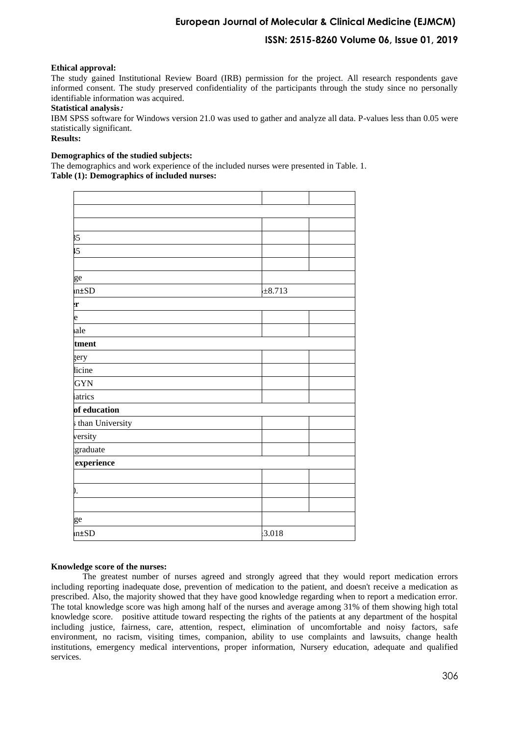## **European Journal of Molecular & Clinical Medicine (EJMCM)**

### **ISSN: 2515-8260 Volume 06, Issue 01, 2019**

### **Ethical approval:**

The study gained Institutional Review Board (IRB) permission for the project. All research respondents gave informed consent. The study preserved confidentiality of the participants through the study since no personally identifiable information was acquired.

### **Statistical analysis:**

IBM SPSS software for Windows version 21.0 was used to gather and analyze all data. P-values less than 0.05 were statistically significant.

### **Results:**

### **Demographics of the studied subjects:**

The demographics and work experience of the included nurses were presented in Table. 1. **Table (1): Demographics of included nurses:**

| 35                |             |  |
|-------------------|-------------|--|
| $\overline{5}$    |             |  |
|                   |             |  |
| ge                |             |  |
| $n\pm SD$         | $\pm 8.713$ |  |
| r                 |             |  |
| e                 |             |  |
| ale               |             |  |
| tment             |             |  |
| zery              |             |  |
| licine            |             |  |
| <b>GYN</b>        |             |  |
| atrics            |             |  |
| of education      |             |  |
| s than University |             |  |
| versity           |             |  |
| graduate          |             |  |
| experience        |             |  |
|                   |             |  |
| Ι.                |             |  |
|                   |             |  |
| ge                |             |  |
| $n \pm SD$        | $-3.018$    |  |
|                   |             |  |

#### **Knowledge score of the nurses:**

The greatest number of nurses agreed and strongly agreed that they would report medication errors including reporting inadequate dose, prevention of medication to the patient, and doesn't receive a medication as prescribed. Also, the majority showed that they have good knowledge regarding when to report a medication error. The total knowledge score was high among half of the nurses and average among 31% of them showing high total knowledge score. positive attitude toward respecting the rights of the patients at any department of the hospital including justice, fairness, care, attention, respect, elimination of uncomfortable and noisy factors, safe environment, no racism, visiting times, companion, ability to use complaints and lawsuits, change health institutions, emergency medical interventions, proper information, Nursery education, adequate and qualified services.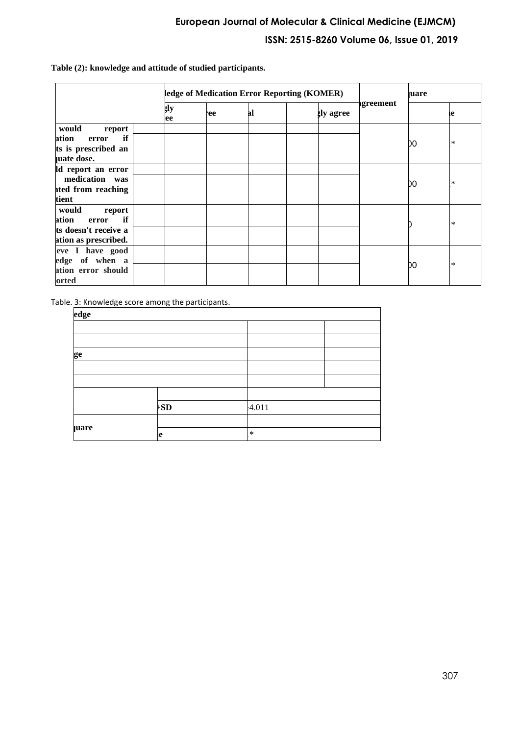**Table (2): knowledge and attitude of studied participants.** 

|                      | ledge of Medication Error Reporting (KOMER) |     |    |  |                  | <b>uare</b> |     |        |
|----------------------|---------------------------------------------|-----|----|--|------------------|-------------|-----|--------|
|                      | ţlу<br>ee                                   | ee. | al |  | <b>gly</b> agree | igreement   |     | le     |
| would<br>report      |                                             |     |    |  |                  |             |     |        |
| if<br>ation<br>error |                                             |     |    |  |                  |             | DO. | $\ast$ |
| ts is prescribed an  |                                             |     |    |  |                  |             |     |        |
| uate dose.           |                                             |     |    |  |                  |             |     |        |
| ld report an error   |                                             |     |    |  |                  |             |     | $\ast$ |
| medication was       |                                             |     |    |  |                  |             |     |        |
| ited from reaching   |                                             |     |    |  |                  |             | DO. |        |
| tient                |                                             |     |    |  |                  |             |     |        |
| would<br>report      |                                             |     |    |  |                  |             |     | $\ast$ |
| if<br>ation<br>error |                                             |     |    |  |                  |             |     |        |
| ts doesn't receive a |                                             |     |    |  |                  |             |     |        |
| ation as prescribed. |                                             |     |    |  |                  |             |     |        |
| eve I have good      |                                             |     |    |  |                  |             |     |        |
| edge of when a       |                                             |     |    |  |                  |             | DO. | $\ast$ |
| ation error should   |                                             |     |    |  |                  |             |     |        |
| orted                |                                             |     |    |  |                  |             |     |        |

Table. 3: Knowledge score among the participants.

### **knowledge**

| edge        |              |        |  |
|-------------|--------------|--------|--|
|             |              |        |  |
|             |              |        |  |
| ge          |              |        |  |
|             |              |        |  |
|             |              |        |  |
|             |              |        |  |
|             | $\mathbf{S}$ | 4.011  |  |
|             |              |        |  |
| <b>uare</b> |              | $\ast$ |  |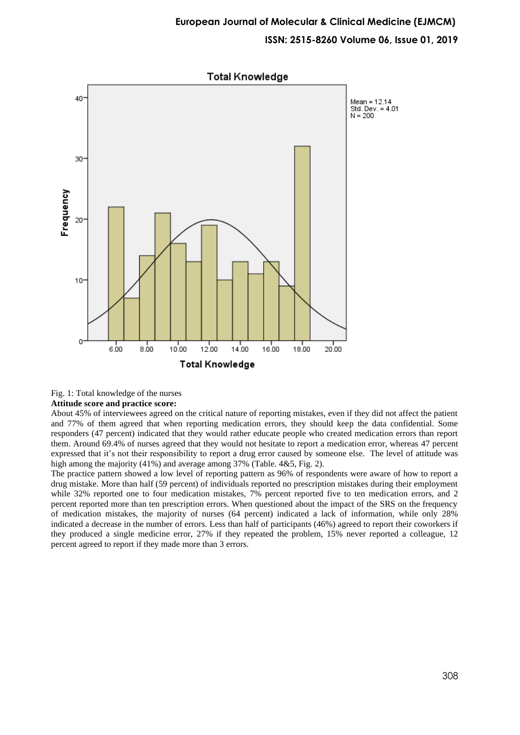

Fig. 1: Total knowledge of the nurses

#### **Attitude score and practice score:**

About 45% of interviewees agreed on the critical nature of reporting mistakes, even if they did not affect the patient and 77% of them agreed that when reporting medication errors, they should keep the data confidential. Some responders (47 percent) indicated that they would rather educate people who created medication errors than report them. Around 69.4% of nurses agreed that they would not hesitate to report a medication error, whereas 47 percent expressed that it's not their responsibility to report a drug error caused by someone else. The level of attitude was high among the majority (41%) and average among 37% (Table. 4&5, Fig. 2).

The practice pattern showed a low level of reporting pattern as 96% of respondents were aware of how to report a drug mistake. More than half (59 percent) of individuals reported no prescription mistakes during their employment while 32% reported one to four medication mistakes, 7% percent reported five to ten medication errors, and 2 percent reported more than ten prescription errors. When questioned about the impact of the SRS on the frequency of medication mistakes, the majority of nurses (64 percent) indicated a lack of information, while only 28% indicated a decrease in the number of errors. Less than half of participants (46%) agreed to report their coworkers if they produced a single medicine error, 27% if they repeated the problem, 15% never reported a colleague, 12 percent agreed to report if they made more than 3 errors.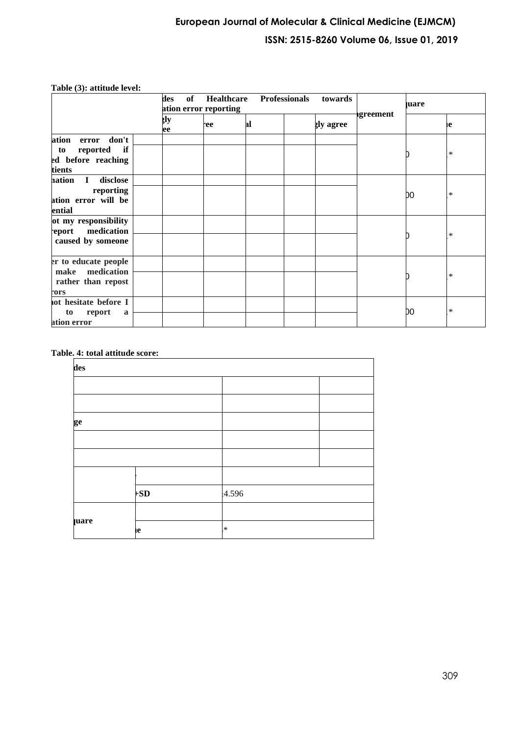| Table (3): attitude level: |     |             |
|----------------------------|-----|-------------|
|                            | des |             |
|                            |     | ation error |

|                                                                                  | Healthcare<br><b>Professionals</b><br>des<br>towards<br>of<br>ation error reporting |     |    |                  |           | <b>uare</b> |        |
|----------------------------------------------------------------------------------|-------------------------------------------------------------------------------------|-----|----|------------------|-----------|-------------|--------|
|                                                                                  | şlу<br>ee                                                                           | ee. | al | <b>gly agree</b> | ıgreement |             | ıе     |
| don't<br>ation<br>error<br>reported<br>if<br>to<br>ed before reaching<br>tients  |                                                                                     |     |    |                  |           |             | $\ast$ |
| disclose<br>nation<br>$\mathbf{I}$<br>reporting<br>ation error will be<br>ential |                                                                                     |     |    |                  |           | DO          | $\ast$ |
| ot my responsibility<br>report medication<br>caused by someone                   |                                                                                     |     |    |                  |           |             | $\ast$ |
| er to educate people<br>make medication<br>rather than repost<br>rors            |                                                                                     |     |    |                  |           |             | $\ast$ |
| not hesitate before I<br>report<br>to<br>a<br>ation error                        |                                                                                     |     |    |                  |           | DO          | $\ast$ |

## **Table. 4: total attitude score:**

| des         |       |        |  |  |
|-------------|-------|--------|--|--|
|             |       |        |  |  |
|             |       |        |  |  |
| ge          |       |        |  |  |
|             |       |        |  |  |
|             |       |        |  |  |
|             |       |        |  |  |
|             | $+SD$ | 4.596  |  |  |
|             |       |        |  |  |
| <b>uare</b> | ιe    | $\ast$ |  |  |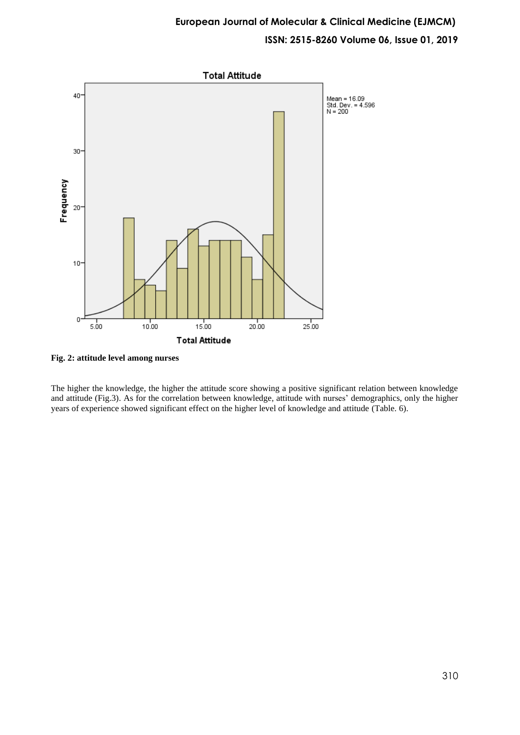

**Fig. 2: attitude level among nurses**

The higher the knowledge, the higher the attitude score showing a positive significant relation between knowledge and attitude (Fig.3). As for the correlation between knowledge, attitude with nurses' demographics, only the higher years of experience showed significant effect on the higher level of knowledge and attitude (Table. 6).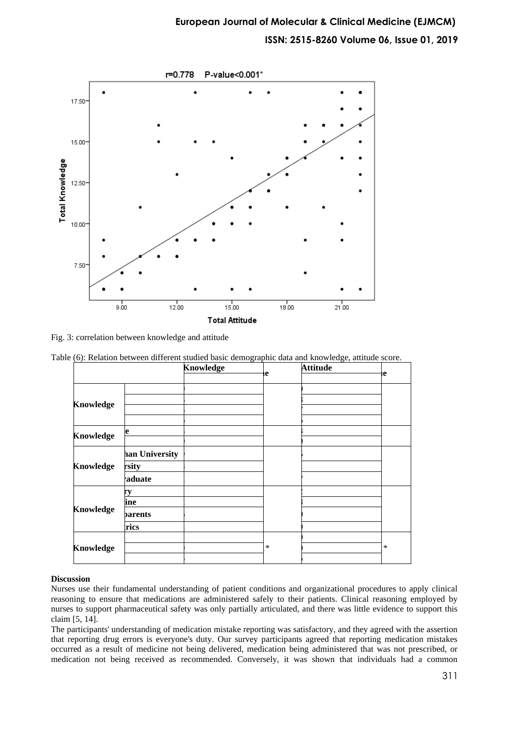

Fig. 3: correlation between knowledge and attitude

Table (6): Relation between different studied basic demographic data and knowledge, attitude score.

|                  |                | <b>Knowledge</b> |        | <b>Attitude</b> |        |
|------------------|----------------|------------------|--------|-----------------|--------|
|                  |                |                  | le     |                 | ιe     |
|                  |                |                  |        |                 |        |
| <b>Knowledge</b> |                |                  |        |                 |        |
|                  |                |                  |        |                 |        |
| <b>Knowledge</b> | e              |                  |        |                 |        |
|                  |                |                  |        |                 |        |
|                  | han University |                  |        |                 |        |
| <b>Knowledge</b> | rsity          |                  |        |                 |        |
|                  | aduate         |                  |        |                 |        |
|                  |                |                  |        |                 |        |
|                  | ine            |                  |        |                 |        |
| <b>Knowledge</b> | <b>parents</b> |                  |        |                 |        |
|                  | rics           |                  |        |                 |        |
| <b>Knowledge</b> |                |                  |        |                 |        |
|                  |                |                  | $\ast$ |                 | $\ast$ |
|                  |                |                  |        |                 |        |

### **Discussion**

Nurses use their fundamental understanding of patient conditions and organizational procedures to apply clinical reasoning to ensure that medications are administered safely to their patients. Clinical reasoning employed by nurses to support pharmaceutical safety was only partially articulated, and there was little evidence to support this claim [\[5,](#page-7-4) [14\]](#page-8-1).

The participants' understanding of medication mistake reporting was satisfactory, and they agreed with the assertion that reporting drug errors is everyone's duty. Our survey participants agreed that reporting medication mistakes occurred as a result of medicine not being delivered, medication being administered that was not prescribed, or medication not being received as recommended. Conversely, it was shown that individuals had a common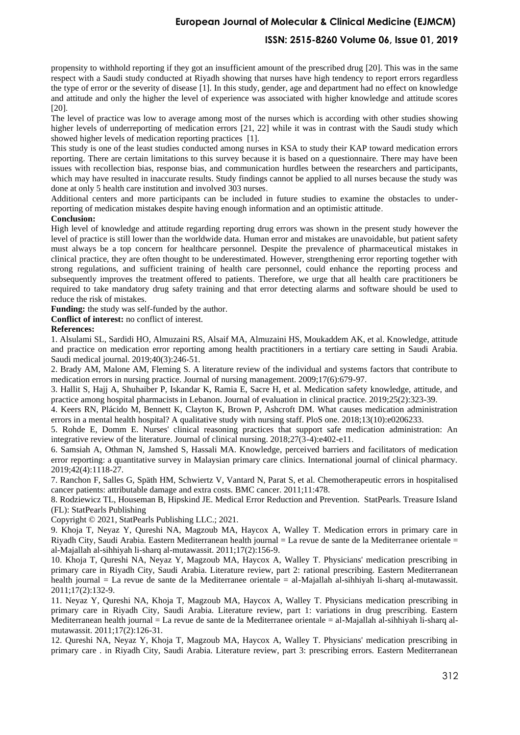## **European Journal of Molecular & Clinical Medicine (EJMCM)**

### **ISSN: 2515-8260 Volume 06, Issue 01, 2019**

propensity to withhold reporting if they got an insufficient amount of the prescribed drug [\[20\]](#page-8-7). This was in the same respect with a Saudi study conducted at Riyadh showing that nurses have high tendency to report errors regardless the type of error or the severity of disease [\[1\]](#page-7-0). In this study, gender, age and department had no effect on knowledge and attitude and only the higher the level of experience was associated with higher knowledge and attitude scores  $[20]$ .

The level of practice was low to average among most of the nurses which is according with other studies showing higher levels of underreporting of medication errors [\[21,](#page-8-8) [22\]](#page-8-9) while it was in contrast with the Saudi study which showed higher levels of medication reporting practices [\[1\]](#page-7-0).

This study is one of the least studies conducted among nurses in KSA to study their KAP toward medication errors reporting. There are certain limitations to this survey because it is based on a questionnaire. There may have been issues with recollection bias, response bias, and communication hurdles between the researchers and participants, which may have resulted in inaccurate results. Study findings cannot be applied to all nurses because the study was done at only 5 health care institution and involved 303 nurses.

Additional centers and more participants can be included in future studies to examine the obstacles to underreporting of medication mistakes despite having enough information and an optimistic attitude .

#### **Conclusion:**

High level of knowledge and attitude regarding reporting drug errors was shown in the present study however the level of practice is still lower than the worldwide data. Human error and mistakes are unavoidable, but patient safety must always be a top concern for healthcare personnel. Despite the prevalence of pharmaceutical mistakes in clinical practice, they are often thought to be underestimated. However, strengthening error reporting together with strong regulations, and sufficient training of health care personnel, could enhance the reporting process and subsequently improves the treatment offered to patients. Therefore, we urge that all health care practitioners be required to take mandatory drug safety training and that error detecting alarms and software should be used to reduce the risk of mistakes.

**Funding:** the study was self-funded by the author.

**Conflict of interest:** no conflict of interest.

#### **References:**

<span id="page-7-0"></span>1. Alsulami SL, Sardidi HO, Almuzaini RS, Alsaif MA, Almuzaini HS, Moukaddem AK, et al. Knowledge, attitude and practice on medication error reporting among health practitioners in a tertiary care setting in Saudi Arabia. Saudi medical journal. 2019;40(3):246-51.

2. Brady AM, Malone AM, Fleming S. A literature review of the individual and systems factors that contribute to medication errors in nursing practice. Journal of nursing management. 2009;17(6):679-97.

3. Hallit S, Hajj A, Shuhaiber P, Iskandar K, Ramia E, Sacre H, et al. Medication safety knowledge, attitude, and practice among hospital pharmacists in Lebanon. Journal of evaluation in clinical practice. 2019;25(2):323-39.

4. Keers RN, Plácido M, Bennett K, Clayton K, Brown P, Ashcroft DM. What causes medication administration errors in a mental health hospital? A qualitative study with nursing staff. PloS one. 2018;13(10):e0206233.

<span id="page-7-4"></span>5. Rohde E, Domm E. Nurses' clinical reasoning practices that support safe medication administration: An integrative review of the literature. Journal of clinical nursing. 2018;27(3-4):e402-e11.

6. Samsiah A, Othman N, Jamshed S, Hassali MA. Knowledge, perceived barriers and facilitators of medication error reporting: a quantitative survey in Malaysian primary care clinics. International journal of clinical pharmacy. 2019;42(4):1118-27.

<span id="page-7-1"></span>7. Ranchon F, Salles G, Späth HM, Schwiertz V, Vantard N, Parat S, et al. Chemotherapeutic errors in hospitalised cancer patients: attributable damage and extra costs. BMC cancer. 2011;11:478.

<span id="page-7-2"></span>8. Rodziewicz TL, Houseman B, Hipskind JE. Medical Error Reduction and Prevention. StatPearls. Treasure Island (FL): StatPearls Publishing

Copyright © 2021, StatPearls Publishing LLC.; 2021.

<span id="page-7-3"></span>9. Khoja T, Neyaz Y, Qureshi NA, Magzoub MA, Haycox A, Walley T. Medication errors in primary care in Riyadh City, Saudi Arabia. Eastern Mediterranean health journal = La revue de sante de la Mediterranee orientale = al-Majallah al-sihhiyah li-sharq al-mutawassit. 2011;17(2):156-9.

10. Khoja T, Qureshi NA, Neyaz Y, Magzoub MA, Haycox A, Walley T. Physicians' medication prescribing in primary care in Riyadh City, Saudi Arabia. Literature review, part 2: rational prescribing. Eastern Mediterranean health journal = La revue de sante de la Mediterranee orientale = al-Majallah al-sihhiyah li-sharq al-mutawassit. 2011;17(2):132-9.

11. Neyaz Y, Qureshi NA, Khoja T, Magzoub MA, Haycox A, Walley T. Physicians medication prescribing in primary care in Riyadh City, Saudi Arabia. Literature review, part 1: variations in drug prescribing. Eastern Mediterranean health journal = La revue de sante de la Mediterranee orientale = al-Majallah al-sihhiyah li-sharq almutawassit. 2011;17(2):126-31.

12. Qureshi NA, Neyaz Y, Khoja T, Magzoub MA, Haycox A, Walley T. Physicians' medication prescribing in primary care . in Riyadh City, Saudi Arabia. Literature review, part 3: prescribing errors. Eastern Mediterranean